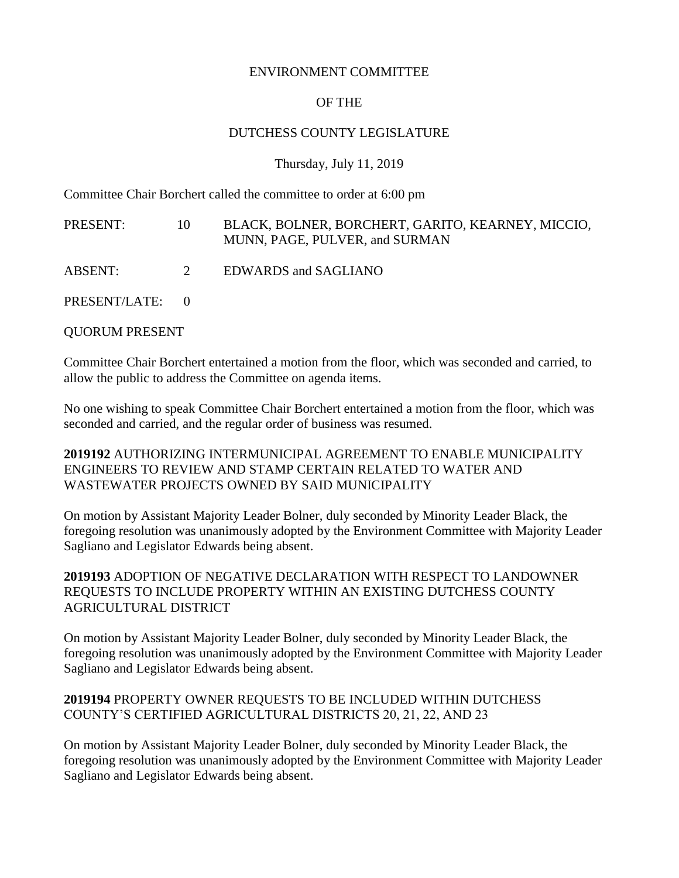#### ENVIRONMENT COMMITTEE

### OF THE

#### DUTCHESS COUNTY LEGISLATURE

Thursday, July 11, 2019

Committee Chair Borchert called the committee to order at 6:00 pm

| PRESENT:        | 10 | BLACK, BOLNER, BORCHERT, GARITO, KEARNEY, MICCIO,<br>MUNN, PAGE, PULVER, and SURMAN |
|-----------------|----|-------------------------------------------------------------------------------------|
| ABSENT:         | 2  | <b>EDWARDS</b> and SAGLIANO                                                         |
| PRESENT/LATE: 0 |    |                                                                                     |

QUORUM PRESENT

Committee Chair Borchert entertained a motion from the floor, which was seconded and carried, to allow the public to address the Committee on agenda items.

No one wishing to speak Committee Chair Borchert entertained a motion from the floor, which was seconded and carried, and the regular order of business was resumed.

**2019192** AUTHORIZING INTERMUNICIPAL AGREEMENT TO ENABLE MUNICIPALITY ENGINEERS TO REVIEW AND STAMP CERTAIN RELATED TO WATER AND WASTEWATER PROJECTS OWNED BY SAID MUNICIPALITY

On motion by Assistant Majority Leader Bolner, duly seconded by Minority Leader Black, the foregoing resolution was unanimously adopted by the Environment Committee with Majority Leader Sagliano and Legislator Edwards being absent.

# **2019193** ADOPTION OF NEGATIVE DECLARATION WITH RESPECT TO LANDOWNER REQUESTS TO INCLUDE PROPERTY WITHIN AN EXISTING DUTCHESS COUNTY AGRICULTURAL DISTRICT

On motion by Assistant Majority Leader Bolner, duly seconded by Minority Leader Black, the foregoing resolution was unanimously adopted by the Environment Committee with Majority Leader Sagliano and Legislator Edwards being absent.

# **2019194** PROPERTY OWNER REQUESTS TO BE INCLUDED WITHIN DUTCHESS COUNTY'S CERTIFIED AGRICULTURAL DISTRICTS 20, 21, 22, AND 23

On motion by Assistant Majority Leader Bolner, duly seconded by Minority Leader Black, the foregoing resolution was unanimously adopted by the Environment Committee with Majority Leader Sagliano and Legislator Edwards being absent.